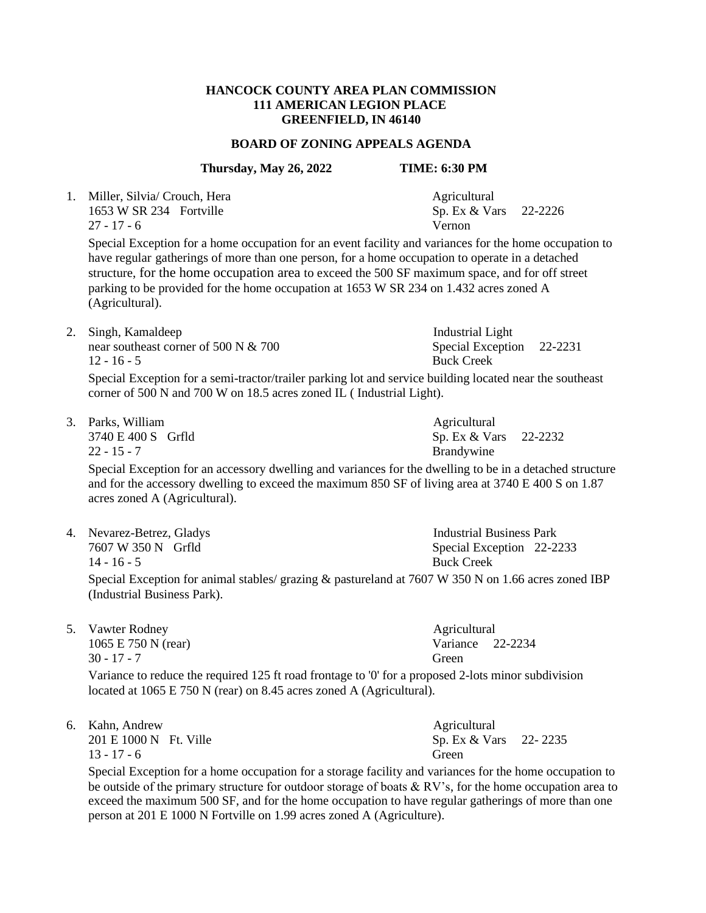## **HANCOCK COUNTY AREA PLAN COMMISSION 111 AMERICAN LEGION PLACE GREENFIELD, IN 46140**

### **BOARD OF ZONING APPEALS AGENDA**

## **Thursday, May 26, 2022 TIME: 6:30 PM**

1. Miller, Silvia/ Crouch, Hera Agricultural 1653 W SR 234 Fortville Sp. Ex & Vars 22-2226 27 - 17 - 6 Vernon

Special Exception for a home occupation for an event facility and variances for the home occupation to have regular gatherings of more than one person, for a home occupation to operate in a detached structure, for the home occupation area to exceed the 500 SF maximum space, and for off street parking to be provided for the home occupation at 1653 W SR 234 on 1.432 acres zoned A (Agricultural).

2. Singh, Kamaldeep Industrial Light near southeast corner of 500 N & 700 Special Exception 22-2231 12 - 16 - 5 Buck Creek

Special Exception for a semi-tractor/trailer parking lot and service building located near the southeast corner of 500 N and 700 W on 18.5 acres zoned IL ( Industrial Light).

3. Parks, William Agricultural

22 - 15 - 7 Brandywine

Special Exception for an accessory dwelling and variances for the dwelling to be in a detached structure and for the accessory dwelling to exceed the maximum 850 SF of living area at 3740 E 400 S on 1.87 acres zoned A (Agricultural).

4. Nevarez-Betrez, Gladys Industrial Business Park 7607 W 350 N Grfld Special Exception 22-2233 14 - 16 - 5 Buck Creek

Special Exception for animal stables/ grazing & pastureland at 7607 W 350 N on 1.66 acres zoned IBP (Industrial Business Park).

5. Vawter Rodney and the Agricultural Agricultural 1065 E 750 N (rear) Variance 22-2234 30 - 17 - 7 Green

Variance to reduce the required 125 ft road frontage to '0' for a proposed 2-lots minor subdivision located at 1065 E 750 N (rear) on 8.45 acres zoned A (Agricultural).

| 6. Kahn, Andrew        | Agricultural            |  |
|------------------------|-------------------------|--|
| 201 E 1000 N Ft. Ville | Sp. Ex $& Vars$ 22-2235 |  |

13 - 17 - 6 Green

Special Exception for a home occupation for a storage facility and variances for the home occupation to be outside of the primary structure for outdoor storage of boats & RV's, for the home occupation area to exceed the maximum 500 SF, and for the home occupation to have regular gatherings of more than one person at 201 E 1000 N Fortville on 1.99 acres zoned A (Agriculture).

3740 E 400 S Grfld Sp. Ex & Vars 22-2232

Agricultural